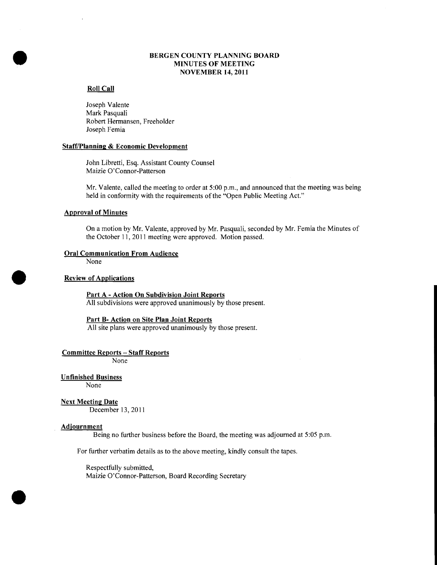# BERGEN COUNTY PLANNING BOARD<br>
MINUTES OF MEETING<br>
NOVEMBER 14, 2011 MINUTES OF MEETING NOVEMBER 14,2011

#### Roll Call

Joseph Valente Mark Pasquali Robert Hennansen, Freeholder Joseph Femia

#### **Staff/Planning & Economic Development**

John Libretti, Esq. Assistant County Counsel Maizie O'Connor-Patterson

Mr. Valente, called the meeting to order at 5:00 p.m., and announced that the meeting was being held in conformity with the requirements of the "Open Public Meeting Act."

#### Approval of Minutes

On a motion by Mr. Valente, approved by Mr. Pasquali, seconded by Mr. Femia the Minutes of the October 11,2011 meeting were approved. Motion passed.

#### Oral Communication From Audience

None

•

#### Review of Applications

Part A - Action On Subdivision Joint Reports All subdivisions were approved unanimously by those present.

#### Part B- Action on Site Plan Joint Reports

All site plans were approved unanimously by those present.

Committee Reports - Staff Reports

None

## Unfinished Business

None

### Next Meeting Date

December 13,2011

#### Adjournment

Being no further business before the Board, the meeting was adjourned at 5:05 p.m.

For further verbatim details as to the above meeting, kindly consult the tapes.

Respectfully submitted,

Maizie O'Connor-Patterson, Board Recording Secretary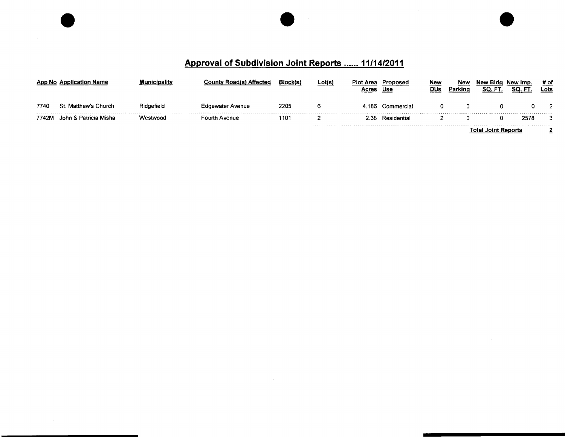# **Approval of Subdivision Joint Reports ...... 11/14/2011**

 $\sim 10^6$  $\sim$ 

|       | App No Application Name | Municipality | <b>County Road(s) Affected</b> | Block(s, | Lot(s) | <b>Plot Area</b><br>Acres | Proposed<br>Use  | New<br>DUs | Nev<br>Parking | New Blda<br>SQ. FT  | New Imp.<br>SQ. | # of<br>Lots |
|-------|-------------------------|--------------|--------------------------------|----------|--------|---------------------------|------------------|------------|----------------|---------------------|-----------------|--------------|
| 7740  | St. Matthew's Church    | Ridgefield   | <b>Edgewater Avenue</b>        | 2205     |        |                           | 4.186 Commercial |            |                |                     |                 |              |
| 7742M | John & Patricia Misha   | Westwood     | Fourth Avenue                  | 110′     |        |                           | 2.38 Residential |            |                |                     | 2578            | 3            |
|       |                         |              |                                |          |        |                           |                  |            |                | <b>JOINT REDONS</b> |                 |              |